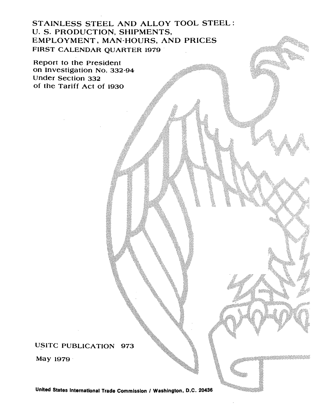# STAINLESS STEEL AND ALLOY TOOL STEEL: U. S. PRODUCTION, SHIPMENTS, EMPLOYMENT, MAN-HOURS, AND PRICES FIRST CALENDAR QUARTER 1979

Report to the President on Investigation No. 332-94 Under Section 332 of the Tariff Act of 1930

# USITC PUBLICATION 973

May 1979 ·

United States International Trade Commission I Washington, D.C. 20436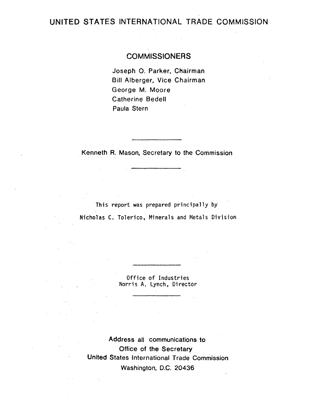## UNITED STATES INTERNATIONAL TRADE COMMISSION

# **COMMISSIONERS**

Joseph 0. Parker, Chairman Bill Alberger, Vice Chairman George M. Moore **Catherine Bedell** Paula Stern

Kenneth R. Mason, Secretary to the Commission

This report was prepared principally by

Nicholas C. Tolerico, Minerals and Metals Division

Office of Industries Norris A. Lynch, Director .

· Address all communications to Office of the Secretary United States International Trade Commission Washington, D.C. 20436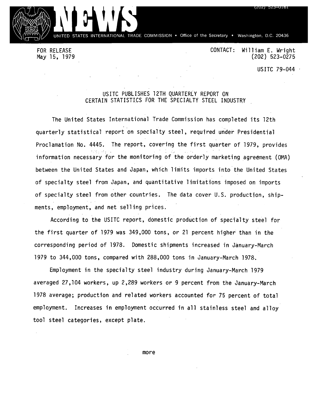

FOR RELEASE May 15, 1979 CONTACT: William E. Wright (202) 523-0275

USITC 79-044

## USITC PUBLISHES 12TH QUARTERLY REPORT ON CERTAIN STATISTICS FOR THE SPECIALTY STEEL INDUSTRY

The United States International Trade Commission has completed its 12th quarterly statistical report on specialty steel, required under Presidential Proclamation No. 4445. The report, covering the first quarter of 1979, provides information necessary for the monitoring of the orderly marketing agreement (OMA) between the United States and Japan, which limits imports into the United States of specialty steel from Japan, and quantitative limitations imposed on imports of specialty steel from other countries. The data cover U.S. production, shipments, employment, and net selling prices.

According to the USITC report, domestic production of specialty steel for the first quarter of 1979 was 349,000 tons, or 21 percent higher than in the corresponding period of 1978. Domestic shipments increased in January-March 1979 to 344,000 tons, compared with 288,000 tons in January-March 1978.

. .

Employment in the specialty steel industry during January-March 1979 averaged 27,104 workers, up 2,289 workers or 9 percent from the January-March 1978 average; production and related workers accounted for 75 percent of total employment. Increases in employment occurred in all stainless steel and alloy tool steel categories, except plate.

more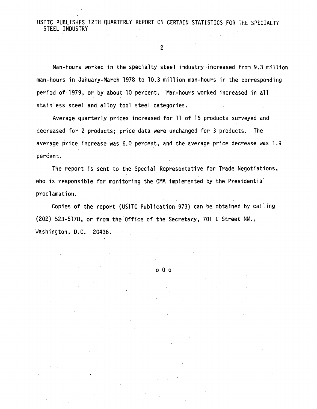USITC PUBLISHES 12TH QUARTERLY REPORT ON CERTAIN STATISTICS FOR THE SPECIALTY STEEL INDUSTRY

2

Man-hours worked in the specialty steel industry increased from 9.3 million man-hours in January-March 1978 to 10.3 million man-hours in the corresponding period of 1979, or by about 10 percent. Man-hours worked increased in all stainless steel and alloy tool steel categories.

Average quarterly prices increased for 11 of 16 products surveyed and decreased for 2 products; price data were unchanged for 3 products. The average price increase was 6.0 percent, and the average price decrease was 1.9 percent.

The report is sent to the Special Representative for Trade Negotiations, who is responsible for monitoring the OMA implemented by the Presidential proclamation.

Copies of the report (USITC Publication 973} can be obtained by calling (202} 523-5178, or from the Office of the Secretary, 701 E Street NW., Washington, D.C. 20436.

0 0 0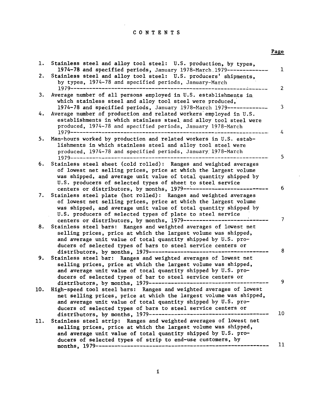## C 0 N T E N T S

 $\mathcal{L}^{\pm}$ 

## Page

 $\ddot{\phantom{a}}$ 

| 1.  | Stainless steel and alloy tool steel: U.S. production, by types,<br>1974-78 and specified periods, January 1978-March. 1979--------                                                                                                                                                                                                                                                                          | 1                    |
|-----|--------------------------------------------------------------------------------------------------------------------------------------------------------------------------------------------------------------------------------------------------------------------------------------------------------------------------------------------------------------------------------------------------------------|----------------------|
| 2.  | Stainless steel and alloy tool steel: U.S. producers' shipments.<br>by types, 1974-78 and specified periods, January-March<br>$1979 - - - -$                                                                                                                                                                                                                                                                 | $\overline{2}$       |
| 3.  | Average number of all persons employed in U.S. establishments in<br>which stainless steel and alloy tool steel were produced,<br>1974-78 and specified periods, January 1978-March 1979--------                                                                                                                                                                                                              | 3                    |
| 4.  | Average number of production and related workers employed in U.S.<br>establishments in which stainless steel and alloy tool steel were<br>produced, 1974-78 and specified periods, January 1978-March<br>$1979$ ------------                                                                                                                                                                                 | 4                    |
| 5.  | Man-hours worked by production and related workers in U.S. estab-<br>lishments in which stainless steel and alloy tool steel were<br>produced, 1974-78 and specified periods, January 1978-March<br>$1979$ ------                                                                                                                                                                                            | 5                    |
| 6.  | Stainless steel sheet (cold rolled): Ranges and weighted averages<br>of lowest net selling prices, price at which the largest volume<br>was shipped, and average unit value of total quantity shipped by<br>U.S. producers of selected types of sheet to steel service                                                                                                                                       |                      |
| 7.  | centers or distributors, by months, 1979-----------------------<br>Stainless steel plate (hot rolled): Ranges and weighted averages<br>of lowest net selling prices, price at which the largest volume<br>was shipped, and average unit value of total quantity shipped by<br>U.S. producers of selected types of plate to steel service<br>centers or distributors, by months, 1979------------------------ | 6<br>$\overline{7}$  |
| 8.  | Stainless steel bars: Ranges and weighted averages of lowest net<br>selling prices, price at which the largest volume was shipped,<br>and average unit value of total quantity shipped by U.S. pro-<br>ducers of selected types of bars to steel service centers or                                                                                                                                          |                      |
| 9.  | Stainless steel bar: Ranges and weighted averages of lowest net<br>selling prices, price at which the largest volume was shipped,<br>and average unit value of total quantity shipped by U.S. pro-<br>ducers of selected types of bar to steel service centers or                                                                                                                                            | 8                    |
| 10. | distributors, by months, 1979------------------------<br>High-speed tool steel bars: Ranges and weighted averages of lowest<br>net selling prices, price at which the largest volume was shipped,<br>and average unit value of total quantity shipped by U.S. pro-<br>ducers of selected types of bars to steel service centers or<br>distributors, by months, 1979---------------------------               | 9<br>10 <sub>1</sub> |
| 11. | Stainless steel strip: Ranges and weighted averages of lowest net<br>selling prices, price at which the largest volume was shipped,<br>and average unit value of total quantity shipped by U.S. pro-<br>ducers of selected types of strip to end-use customers, by                                                                                                                                           | 11                   |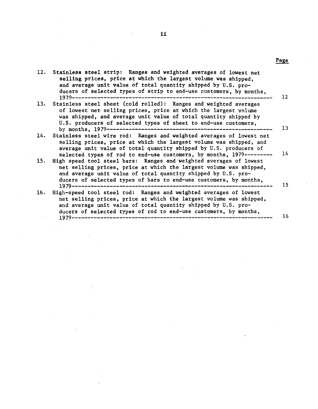| ۰. |  |  |
|----|--|--|
|    |  |  |

 $\frac{1}{\sqrt{2}}$ 

|     | 12. Stainless steel strip: Ranges and weighted averages of lowest net<br>selling prices, price at which the largest volume was shipped,<br>and average unit value of total quantity shipped by U.S. pro-<br>ducers of selected types of strip to end-use customers, by months,<br>$1979 - - - -$                                    | $12 \,$ |
|-----|-------------------------------------------------------------------------------------------------------------------------------------------------------------------------------------------------------------------------------------------------------------------------------------------------------------------------------------|---------|
|     | 13. Stainless steel sheet (cold rolled): Ranges and weighted averages<br>of lowest net selling prices, price at which the largest volume<br>was shipped, and average unit value of total quantity shipped by<br>U.S. producers of selected types of sheet to end-use customers,                                                     | 13      |
|     | 14. Stainless steel wire rod: Ranges and weighted averages of lowest net<br>selling prices, price at which the largest volume was shipped, and<br>average unit value of total quantity shipped by U.S. producers of<br>selected types of rod to end-use customers, by months, 1979---------                                         | 14      |
|     | 15. High speed tool steel bars: Ranges and weighted averages of lowest<br>net selling prices, price at which the largest volume was shipped,<br>and average unit value of total quantity shipped by U.S. pro-<br>ducers of selected types of bars to end-use customers, by months,<br>$1979$ ----------<br>------------------------ | 15      |
| 16. | High-speed tool steel rod: Ranges and weighted averages of lowest<br>net selling prices, price at which the largest volume was shipped,<br>and average unit value of total quantity shipped by U.S. pro-<br>ducers of selected types of rod to end-use customers, by months,<br>$1979 - - - - -$                                    | 16      |

 $\mathcal{L}(\mathcal{L})$  and  $\mathcal{L}(\mathcal{L})$  .

 $\mathcal{L}^{\text{max}}$  .

 $\hat{\mathcal{L}}$ 

 $\label{eq:2.1} \frac{1}{\sqrt{2}}\int_{0}^{\infty}\frac{1}{\sqrt{2\pi}}\left(\frac{1}{\sqrt{2\pi}}\right)^{2\alpha} \frac{1}{\sqrt{2\pi}}\int_{0}^{\infty}\frac{1}{\sqrt{2\pi}}\left(\frac{1}{\sqrt{2\pi}}\right)^{\alpha} \frac{1}{\sqrt{2\pi}}\frac{1}{\sqrt{2\pi}}\int_{0}^{\infty}\frac{1}{\sqrt{2\pi}}\frac{1}{\sqrt{2\pi}}\frac{1}{\sqrt{2\pi}}\frac{1}{\sqrt{2\pi}}\frac{1}{\sqrt{2\pi}}\frac{1}{\sqrt{2\pi}}$ 

 $\frac{1}{2} \sum_{i=1}^n \frac{1}{2} \sum_{j=1}^n \frac{1}{2} \sum_{j=1}^n \frac{1}{2} \sum_{j=1}^n \frac{1}{2} \sum_{j=1}^n \frac{1}{2} \sum_{j=1}^n \frac{1}{2} \sum_{j=1}^n \frac{1}{2} \sum_{j=1}^n \frac{1}{2} \sum_{j=1}^n \frac{1}{2} \sum_{j=1}^n \frac{1}{2} \sum_{j=1}^n \frac{1}{2} \sum_{j=1}^n \frac{1}{2} \sum_{j=1}^n \frac{1}{2} \sum_{j=$ 

 $\mathcal{L}^{\text{max}}_{\text{max}}$ 

 $\mathcal{L}^{\text{max}}_{\text{max}}$ 

 $\hat{\mathcal{L}}$ 

 $\mathcal{L}^{\text{max}}_{\text{max}}$ 

 $\ddot{\phantom{0}}$ 

 $\mathcal{L}^{\text{max}}_{\text{max}}$ 

 $\label{eq:2.1} \frac{1}{2} \sum_{i=1}^n \frac{1}{2} \sum_{j=1}^n \frac{1}{2} \sum_{j=1}^n \frac{1}{2} \sum_{j=1}^n \frac{1}{2} \sum_{j=1}^n \frac{1}{2} \sum_{j=1}^n \frac{1}{2} \sum_{j=1}^n \frac{1}{2} \sum_{j=1}^n \frac{1}{2} \sum_{j=1}^n \frac{1}{2} \sum_{j=1}^n \frac{1}{2} \sum_{j=1}^n \frac{1}{2} \sum_{j=1}^n \frac{1}{2} \sum_{j=1}^n \frac{$ 

 $\hat{\mathcal{L}}$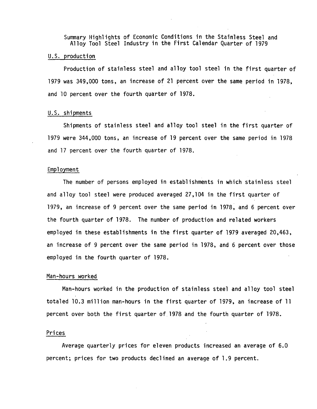Summary Highlights of Economic Conditions in the Stainless Steel and Alloy Tool Steel Industry in the First Calendar Quarter of 1979

#### U.S. production

Production of stainless steel and alloy tool steel in the first quarter of 1979 was 349,000 tons, an increase of 21 percent over the same period in 1978, and 10 percent over the fourth quarter of 1978.

#### U.S. shipments

Shipments of stainless steel and alloy tool steel in the first quarter of 1979 were 344,000 tons, an increase of 19 percent over the same period in 1978 and 17 percent over the fourth quarter of 1978.

#### Employment

The number of persons employed in establishments in which stainless steel and alloy tool steel were produced averaged 27,104 in the first quarter of 1979, an increase of 9 percent over the same period in 1978, and 6 percent over the fourth quarter of 1978. The number of production and related workers employed in these establishments in the first quarter of 1979 averaged 20,463, an increase of 9 percent over the same period in 1978, and 6 percent over those employed in the fourth quarter of 1978.

#### Man-hours worked

Man-hours worked in the production of stainless steel and alloy tool steel totaled 10.3 million man-hours in the first quarter of 1979, an increase of 11 percent over both the first quarter of 1978 and the fourth quarter of 1978.

#### Prices

Average quarterly prices for eleven products increased an average of 6.0 percent; prices for two products declined an average of 1.9 percent.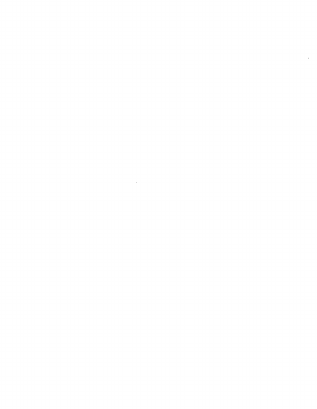$\label{eq:2.1} \frac{1}{\sqrt{2}}\int_{\mathbb{R}^3}\frac{1}{\sqrt{2}}\left(\frac{1}{\sqrt{2}}\right)^2\frac{1}{\sqrt{2}}\left(\frac{1}{\sqrt{2}}\right)^2\frac{1}{\sqrt{2}}\left(\frac{1}{\sqrt{2}}\right)^2\frac{1}{\sqrt{2}}\left(\frac{1}{\sqrt{2}}\right)^2\frac{1}{\sqrt{2}}\left(\frac{1}{\sqrt{2}}\right)^2\frac{1}{\sqrt{2}}\frac{1}{\sqrt{2}}\frac{1}{\sqrt{2}}\frac{1}{\sqrt{2}}\frac{1}{\sqrt{2}}\frac{1}{\sqrt{2}}$  $\label{eq:2.1} \mathcal{L}(\mathcal{L}^{\text{max}}_{\mathcal{L}}(\mathcal{L}^{\text{max}}_{\mathcal{L}})) \leq \mathcal{L}(\mathcal{L}^{\text{max}}_{\mathcal{L}}(\mathcal{L}^{\text{max}}_{\mathcal{L}}))$  $\sim$   $\sim$ 

 $\epsilon$ 

 $\mathcal{L}_{\mathrm{eff}}$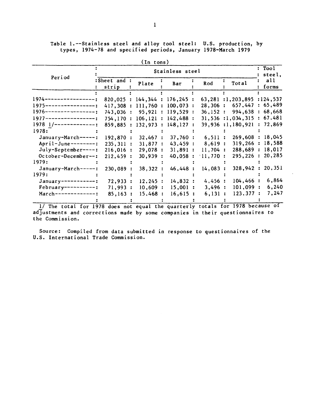Table !.--Stainless steel and alloy tool steel: U.S. production, by types, 1974-78 and specified periods, January 1978-March 1979

|                               |                     | TTH LONSY           |                 |         |                        |                      |                  |
|-------------------------------|---------------------|---------------------|-----------------|---------|------------------------|----------------------|------------------|
|                               |                     |                     | Stainless steel |         |                        |                      | : Tool<br>steel, |
| Period                        | :Sheet and<br>strip | Plate               | Bar             | Rod     | Total                  |                      | all<br>forms     |
|                               |                     |                     |                 |         |                        |                      |                  |
| 1974-----------------;        |                     | 820,025 : 144,344 : | 176, 245:       |         | $63,281$ : 1, 203, 895 |                      | : 124, 537       |
| 1975-----------------:        |                     | 417,308:111,760:    | 100,073:        | 28,306: | 657,447                | $\ddot{\phantom{a}}$ | 65,489           |
| 1976-----------------;        | 743,036:            | 95,921              | 119,529:        | 36,152: | 994,638                |                      | : 68,668         |
| $1977 -$<br>----------------- |                     | 754,170 : 106,121 : | 142,488:        |         | $31,536$ : 1,034,315   |                      | 67.481           |
| $1978$ $1/-$ --------------   |                     | 859,885 : 132,973   | 148,127 :       |         | 39,936 :1,180,921      |                      | 72,869           |
| 1978:                         |                     |                     |                 |         |                        |                      |                  |
| January-March-----:           | 192,870             | 32,467:             | 37,760:         | 6,511:  | 269,608                | $\ddot{\phantom{a}}$ | 18,045           |
| $April-June-----:$            | 235,311:            | 31,877:             | 43,459:         | 8,619:  | 319,266                | $\ddot{\cdot}$       | 18,588           |
| July-September----:           | $216,016$ :         | 29,078 :            | 31,891:         | 11,704: | 288,689:               |                      | 18,017           |
| October-December--:           | 212,459:            | 30,939:             | 40,058:         | 11,770: | 295,226                | $\ddot{\phantom{a}}$ | 20,285           |
| 1979:                         |                     |                     |                 |         |                        |                      |                  |
| January-March-----:           | 230,089             | 38,322:             | 46,448          | 14,083  | 328,942                |                      | 20,351           |
| 1979:                         |                     |                     |                 |         |                        |                      |                  |
| $January-----$                | 72,933:             | 12, 245:            | 14,832:         | 4,456:  | 104,466                |                      | 6,864            |
| $February-----$               | 71,993:             | 10,609:             | 15,001:         | 3,496:  | 101,099:               |                      | 6,240            |
| March-------------:           | 85,163:             | 15,468:             | 16,615:         | 6, 131: | 123,377                |                      | 7,247            |
|                               |                     |                     |                 |         |                        |                      |                  |

(In tons)

1/ The total for 1978 does not equal the quarterly totals for 1978 because of adjustments and corrections made by some companies in their questionnaires to the Commission.

Source: Compiled from data submitted in response to questionnaires of the U.S. International Trade Commission.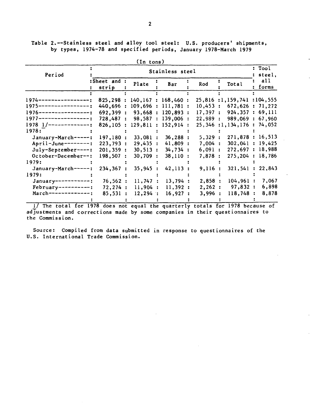Table 2.--Stainless steel and alloy tool steel: U.S. producers' shipments, by types, 1974-78 and specified periods, January 1978-March 1979

| Period                                                                                                                 |                       |                       | Stainless steel     |         |                                   |                | : Tool<br>steel, |
|------------------------------------------------------------------------------------------------------------------------|-----------------------|-----------------------|---------------------|---------|-----------------------------------|----------------|------------------|
|                                                                                                                        | :Sheet and :<br>strip | Plate                 | Bar                 | Rod     | Total                             |                | a11<br>forms     |
|                                                                                                                        |                       |                       |                     |         |                                   |                |                  |
| 1974-----------------:                                                                                                 | 825, 298:             | $140,167$ : 168,460 : |                     |         | $25,816$ : 1, 159, 741 : 104, 555 |                |                  |
| 1975---------------                                                                                                    | 440,696:              | 109,696               | : 111,781:          |         | $10,453$ : 672,626: 71,272        |                |                  |
| 1976-----------------                                                                                                  | 692.399:              |                       | 93,668 : 120,893 :  | 17,397: | 924,357 : 69,111                  |                |                  |
| 1977------------------:                                                                                                | 728,487:              | 98,587                | : 139,006:          | 22,989: | 989,069 : 67,960                  |                |                  |
| 1978 1/<br>------------                                                                                                | 826, 105:             |                       | 129,811 : 152,914 : |         | $25,346$ : 1, 134, 176 : 74, 052  |                |                  |
| 1978:                                                                                                                  |                       |                       |                     |         |                                   |                |                  |
| January-March-----:                                                                                                    | 197,180 :             | 33,081:               | 36, 288:            | 5,329:  | 271,878                           | $\ddot{\cdot}$ | 16,513           |
| $April-June-----:$                                                                                                     | 223,793:              | 29,435:               | 41,809:             | 7,004:  | 302,041                           | $\ddot{\cdot}$ | 19,425           |
| July-September----:                                                                                                    | 201,359:              | 30,513:               | 34,734:             | 6,091:  | 272,697                           | $\ddot{\cdot}$ | 18,988           |
| October-December--:                                                                                                    | 198,507 :             | 30,709:               | 38,110:             | 7,878 : | 275,204                           |                | 18,786           |
| 1979:                                                                                                                  |                       |                       |                     |         |                                   |                |                  |
| January-March-----: $234,367$                                                                                          |                       | 35,945                | 42,113:             | 9,116:  | 321,541                           |                | : 22,843         |
| 1979:                                                                                                                  |                       |                       |                     |         |                                   |                |                  |
| January------------:                                                                                                   | 76,562:               | 11,747:               | 13,794:             | 2,858:  | 104,961:                          |                | 7,067            |
| $February \rightarrow \rightarrow \rightarrow \rightarrow \rightarrow \rightarrow \rightarrow \rightarrow \rightarrow$ | 72, 274:              | 11,904:               | 11,392:             | 2,262:  | 97,832:                           |                | 6,898            |
| March-------------:                                                                                                    | 85,531:               | 12, 294:              | 16,927:             | 3,996:  | 118,748:                          |                | 8,878            |
|                                                                                                                        |                       |                       |                     |         |                                   |                |                  |

(In tons)

l/ The total for 1978 does not equal the quarterly totals for 1978 because of ad}ustments and corrections made by some companies in their questionnaires to the Commission.

Source: Compiled from data submitted in response to questionnaires of the U.S. International Trade Commission.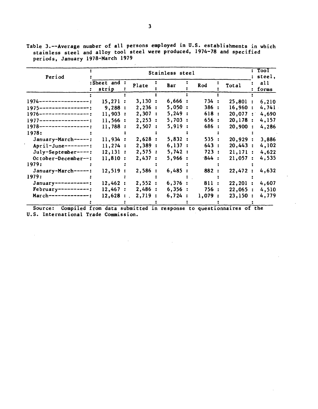Table 3.--Average number of all persons employed in U.S. establishments in which stainless steel and alloy tool steel were produced, 1974-78 and specified periods, January 1978-March 1979

| Period                                                                                         |                     |        | Stainless steel |         |            | : <b>Tool</b><br>steel, |
|------------------------------------------------------------------------------------------------|---------------------|--------|-----------------|---------|------------|-------------------------|
|                                                                                                | :Sheet and<br>strip | Plate  | Bar             | Rod     | Total      | all<br>forms            |
|                                                                                                |                     |        |                 |         |            |                         |
| $1974 - -$<br>--------------;                                                                  | 15,271:             | 3,130: | 6,666:          | 734:    | 25,801     | 6,210                   |
| $1975 -$<br>--------------                                                                     | 9,288:              | 2,236: | 5,050:          | 386:    | 16,960:    | 4,741                   |
| $1976-$<br>--------------                                                                      | 11,903:             | 2,307: | 5,249:          | 618:    | $20,077$ : | 4,690                   |
| $1977 -$<br>--------------                                                                     | 11,566:             | 2,253: | 5,703:          | 656:    | 20, 178:   | 4,157                   |
| $1978 -$<br>---------------                                                                    | 11,788:             | 2,507: | 5,919:          | 686 :   | 20,900:    | 4,286                   |
| 1978:                                                                                          |                     |        |                 |         |            |                         |
| January-March-----:                                                                            | 11,934:             | 2,628: | 5,832:          | 535:    | 20,929:    | 3,886                   |
| $April-June-----:$                                                                             | 11,274:             | 2,389: | 6,137:          | 643:    | 20,443:    | 4,102                   |
| July-September----:                                                                            | 12,131:             | 2,575: | 5,742:          | 723:    | 21,171:    | 4,622                   |
| October-December--:                                                                            | 11,810:             | 2,437: | 5,966:          | $-844:$ | 21,057:    | 4,535                   |
| 1979:                                                                                          |                     |        |                 |         |            |                         |
| January-March-----:                                                                            | 12,519:             | 2,586: | 6,485:          | 882 :   | 22,472     | 4,632                   |
| 1979:                                                                                          |                     |        |                 |         |            |                         |
| January-----------:                                                                            | 12,462:             | 2,552: | 6,376:          | 811:    | 22,201     | 4,607                   |
| $February \rightarrow \rightarrow \rightarrow \rightarrow \rightarrow \rightarrow \rightarrow$ | 12,467:             | 2,486: | 6,356:          | 756 :   | 22,065:    | 4,510                   |
| March-------------:                                                                            | 12,628:             | 2,719: | 6,724:          | 1,079:  | 23,150:    | 4,779                   |
|                                                                                                |                     |        |                 |         |            |                         |

Source: Compiled from data submitted in response to questionnaires of the U.S. International Trade Commission.

 $\mathcal{A}^{\mathcal{A}}$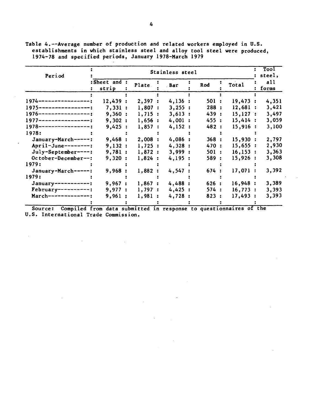| Period                     |                        |        | Stainless steel |       |          | $\ddot{\phantom{a}}$ | Tool<br>steel, |
|----------------------------|------------------------|--------|-----------------|-------|----------|----------------------|----------------|
|                            | : Sheet and :<br>strip | Plate. | . Bar           | Rod   | Total    |                      | all<br>forms   |
|                            |                        |        |                 |       |          |                      |                |
| 1974-----------------:     | 12,439:                | 2,397: | 4,136:          | 501:  | 19,473:  |                      | 4,351          |
| $1975--$<br>-------------! | 7,331:                 | 1,807: | 3,255:          | 288 : | 12,681:  |                      | 3,421          |
| $1976 -$<br>-------------  | 9,360:                 | 1,715: | 3,613:          | 439 : | 15,127:  |                      | 3,497          |
| $1977 -$<br>-------------  | 9,302:                 | 1,656: | 4,001:          | 455:  | 15,414:  |                      | 3,059          |
| $1978-$<br>--------------  | 9,425:                 | 1,857: | 4,152:          | 482 : | 15,916:  |                      | 3,100          |
| 1978:                      |                        |        |                 |       |          |                      |                |
| January-March-----:        | 9,468:                 | 2,008: | 4,086:          | 368:  | 15,930:  |                      | 2,797          |
| $April-June-----:$         | 9,132:                 | 1,725: | 4,328:          | 470 : | 15,655:  |                      | 2,930          |
| July-September----:        | 9,781:                 | 1,872: | 3,999:          | 501:  | 16, 153: |                      | 3,363          |
| October-December--:        | 9,320:                 | 1,824: | 4,195:          | 589 : | 15,926:  |                      | 3,308          |
| 1979:                      |                        |        |                 |       |          |                      |                |
| January-March-----:        | 9,968:                 | 1,882: | 4,547:          | 674:  | 17,071   |                      | 3,392          |
| 1979:                      |                        |        |                 |       |          |                      |                |
| -----------<br>January-    | 9,967:                 | 1,867: | 4,488:          | 626:  | 16,948:  |                      | 3,389          |
| $February$ ----------:     | 9,977:                 | 1,797: | 4,425:          | 574:  | 16,773:  |                      | 3,393          |
| March-------------         | $9,961$ :              | 1,981: | 4,728:          | 823:  | 17,493:  |                      | 3,393          |
|                            |                        |        |                 |       |          |                      |                |

Table 4.--Average number of production and related workers employed in U.S. establishments in which stainless steel and alloy tool steel were produced, 1974-78 and specified periods, January 1978-March 1979

Source: Compiled from data submitted in response to questionnaires of the U.S. International Trade Commission.

÷.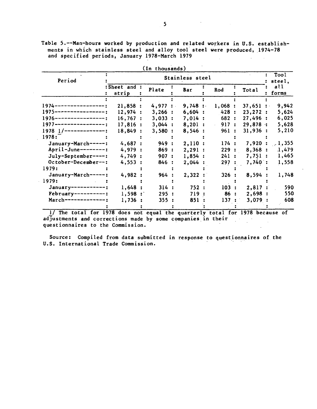Table 5.--Man-hours worked by production and related workers in U.S. establishments in which stainless steel and alloy tool steel were produced, 1974-78 and specified periods, January 1978-March 1979

 $\bar{\bar{\nu}}$ 

|                           |                       | (In thousands) |        |                |  |            |  |              |
|---------------------------|-----------------------|----------------|--------|----------------|--|------------|--|--------------|
| Period                    |                       |                | ٠.     | Tool<br>steel, |  |            |  |              |
|                           | :Sheet and :<br>strip | Plate          | Bar    | Rod            |  | Total      |  | a11<br>forms |
|                           |                       |                |        |                |  |            |  |              |
| 1974-----------------     | 21,858:               | $4,977$ :      | 9,748: | 1,068:         |  | $37,651$ : |  | 9,942        |
| $1975 - -$<br>----------- | 12,974:               | 3,266:         | 6,604: | 428:           |  | 23,272:    |  | 5,624        |
| $1976--$<br>-----------   | 16,767:               | 3,033:         | 7,014: | 682 :          |  | 27,496:    |  | 6,025        |
| $1977 - -$                | 17,816:               | $3,044$ :      | 8,201: | 917:           |  | 29,878:    |  | 5,628        |
| $1978$ 1/<br>-----------  | 18,849 :              | 3,580:         | 8,546: | 961 :          |  | 31,936:    |  | 5,210        |
| 1978:                     |                       |                |        |                |  |            |  |              |
| January-March-----:       | 4,687:                | 949:           | 2,110: | 174:           |  | 7,920:     |  | 1,355        |
| $April-June-----$         | 4,979:                | 869:           | 2,291: | 229:           |  | 8,368:     |  | 1,479        |
| July-September----:       | 4,749:                | 907:           | 1,854: | 241:           |  | 7,751:     |  | 1,465        |
| October-December--:       | 4,553:                | 846 :          | 2,044: | 297:           |  | 7,740:     |  | 1,558        |
| 1979:                     |                       |                |        |                |  |            |  |              |
| January-March-----:       | 4,982:                | 964:           | 2,322: | 326:           |  | 8,594:     |  | 1,748        |
| 1979:                     |                       |                |        |                |  |            |  |              |
| January-                  | 1,648:                | 314:           | 752:   | 103:           |  | 2,817:     |  | 590          |
| $February-----$           | 1,598:                | 295:           | 719    | 86 :           |  | 2,698:     |  | 550          |
| $March$ -----------       | 1,736:                | 355:           | 851    | 137            |  | 3,079:     |  | 608          |
|                           |                       |                |        |                |  |            |  |              |

1/ The total for 1978 does not equal the quarterly total for 1978 because of adjustments and corrections made by some companies in their questionnaires to the Commission.

Source: Compiled from data submitted in response to questionnaires of the U.S. International Trade Commission.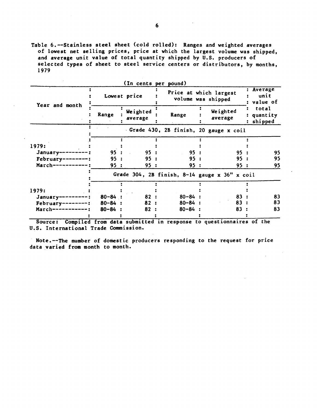Table 6.--Stainless steel sheet (cold rolled): Ranges and weighted averages of lowest net selling prices, price at which the largest volume was shipped, and average unit value of total quantity shipped by U.S. producers of selected types of sheet to steel service centers or distributors, by months, 1979

|                      |             |                     |     | (In cents per pound)                         |                                               |                              |
|----------------------|-------------|---------------------|-----|----------------------------------------------|-----------------------------------------------|------------------------------|
| Year and month       |             | Lowest price        |     | Price at which largest<br>volume was shipped | : Average<br>unit<br>value of                 |                              |
|                      | Range       | Weighted<br>average |     | Range                                        | Weighted<br>average                           | total<br>quantity<br>shipped |
|                      |             |                     |     |                                              | Grade 430, 2B finish, 20 gauge x coil         |                              |
|                      |             |                     |     |                                              |                                               |                              |
| 1979:                |             |                     |     |                                              |                                               |                              |
| January--<br>------- | 95:         |                     | 95: | 95                                           | 95 -                                          | 95                           |
| February-            | 95:         |                     | 95: | 95                                           | 95:                                           | 95                           |
| March----------      | 95:         |                     | 95: | 95:                                          | 95:                                           | 95                           |
|                      |             |                     |     |                                              | Grade 304, 2B finish, 8-14 gauge x 36" x coil |                              |
|                      |             |                     |     |                                              |                                               |                              |
| 1979:                |             |                     |     |                                              |                                               |                              |
| January---           | $80 - 84$ : |                     | 82: | $80 - 84$ :                                  | 83                                            | 83                           |
| February-----        | $80 - 84 :$ |                     | 82: | $80 - 84$ :                                  | 83                                            | 83                           |
| March---------       | $80 - 84$ : |                     | 82: | $80 - 84$ :                                  | 83                                            | 83                           |
|                      |             |                     |     |                                              |                                               | $\sim$ $\sim$ $\sim$         |

Source: Compiled from data submitted in response to questionnaires of the U.S. International Trade Commission.

Note.--The number of domestic producers responding to the request for price data varied from month to month.

 $\sim 100$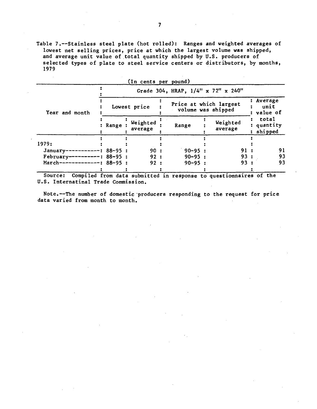Table 7.--Stainless steel plate (hot rolled): Ranges and weighted averages of lowest net selling prices, price at which the largest volume was shipped, and average unit value of total quantity shipped by U.S. producers of selected types of plate to steel service centers or distributors, by months, 1979

|                     |               |                                    | (In cents per pound) |  |            |                                              |  |                                  |  |  |  |  |  |
|---------------------|---------------|------------------------------------|----------------------|--|------------|----------------------------------------------|--|----------------------------------|--|--|--|--|--|
|                     |               | Grade 304, HRAP, 1/4" x 72" x 240" |                      |  |            |                                              |  |                                  |  |  |  |  |  |
| Year and month      |               |                                    | Lowest price         |  |            | Price at which largest<br>volume was shipped |  | : Average<br>unit<br>: value of  |  |  |  |  |  |
|                     | : Range       |                                    | Weighted<br>average  |  | Range      | Weighted<br>average                          |  | total<br>: quantity<br>: shipped |  |  |  |  |  |
| 1979:               |               |                                    |                      |  |            |                                              |  |                                  |  |  |  |  |  |
| January-            | $: 88 - 95 :$ |                                    | 90:                  |  | $90 - 95:$ | 91 :                                         |  | 91                               |  |  |  |  |  |
| $February--------$  | $: 88 - 95:$  |                                    | 92:                  |  | $90 - 95:$ | 93 :                                         |  | 93                               |  |  |  |  |  |
| $March$ ----------- | $: 88 - 95 :$ |                                    | 92:                  |  | $90 - 95:$ | 93                                           |  | 93                               |  |  |  |  |  |
|                     |               |                                    |                      |  |            |                                              |  |                                  |  |  |  |  |  |

Source: Compiled from data submitted in response to questionnaires of the U.S. Internatinal Trade Commission.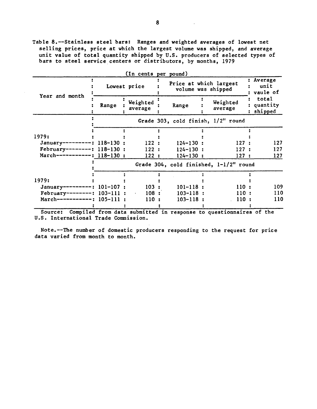Table 8.--Stainless steel bars: Ranges and weighted averages of lowest net selling prices, price at which the largest volume was shipped, and average unit value of total quantity shipped by U.S. producers of selected types of bars to steel service centers or distributors, by months, 1979

|                               |                    | (In cents per pound) |                                              |                                        |                                  |
|-------------------------------|--------------------|----------------------|----------------------------------------------|----------------------------------------|----------------------------------|
|                               | Lowest price       |                      | Price at which largest<br>volume was shipped |                                        | : Average<br>unit<br>: vaule of  |
| Year and month                | Range              | Weighted<br>average  | Range                                        | Weighted<br>average                    | total<br>: quantity<br>: shipped |
|                               |                    |                      |                                              | Grade 303, cold finish, 1/2" round     |                                  |
|                               |                    |                      |                                              |                                        |                                  |
| 1979:                         |                    |                      |                                              |                                        |                                  |
| January--                     | -------: 118-130 : | 122:                 | $124 - 130$ :                                | 127:                                   | 127                              |
| February--------: 118-130 :   |                    | 122:                 | $124 - 130$ :                                | 127:                                   | 127                              |
| $March----------:$            | $118 - 130:$       | 122:                 | $124 - 130$ :                                | 127:                                   | 127                              |
|                               |                    |                      |                                              | Grade 304, cold finished, 1-1/2" round |                                  |
|                               |                    |                      |                                              |                                        |                                  |
| 1979:                         |                    |                      |                                              |                                        |                                  |
| January---------: 101-107     |                    | 103:                 | $101 - 118$ :                                | 110:                                   | 109                              |
| February--------: $103-111$ : |                    | 108:<br>$\star$      | $103 - 118$ :                                | 110:                                   | 110                              |
| March-----------: 105-111 :   |                    | 110:                 | $103 - 118$ :                                | 110:                                   | 110                              |
|                               |                    |                      |                                              |                                        |                                  |

 $\mathcal{L}^{\mathcal{L}}$ 

Source: Compiled from data submitted in response to questionnaires of the U.S. International Trade Commission.

Note.--The number of domestic producers responding to the request for price data varied from month to month.

 $\mathcal{L}^{\text{max}}_{\text{max}}$  and  $\mathcal{L}^{\text{max}}_{\text{max}}$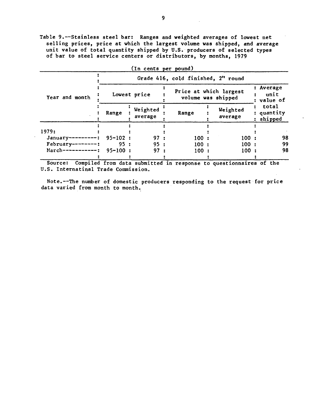Table 9.--Stainless steel bar: Ranges and weighted averages of lowest net selling prices, price at which the largest volume was shipped, and average unit value of total quantity shipped by U.S. producers of selected types of bar to steel service centers or distributors, by months, 1979

|                    |                                    | (in cents per pound <i>)</i> |  |                                              |                                 |                                  |  |  |  |  |  |  |
|--------------------|------------------------------------|------------------------------|--|----------------------------------------------|---------------------------------|----------------------------------|--|--|--|--|--|--|
|                    | Grade 416, cold finished, 2" round |                              |  |                                              |                                 |                                  |  |  |  |  |  |  |
| Year and month     |                                    | Lowest price                 |  | Price at which largest<br>volume was shipped | : Average<br>unit<br>: value of |                                  |  |  |  |  |  |  |
|                    | Range                              | Weighted<br>average          |  | Range                                        | Weighted<br>average             | total<br>: quantity<br>: shipped |  |  |  |  |  |  |
| 1979:              |                                    |                              |  |                                              |                                 |                                  |  |  |  |  |  |  |
| $January------$    | $95 - 102$ :                       | 97:                          |  | 100:                                         | 100:                            | 98                               |  |  |  |  |  |  |
| $February-------:$ | 95:                                | 95:                          |  | 100:                                         | 100:                            | 99                               |  |  |  |  |  |  |
| March-----------:  | $95 - 100$ :                       | 97                           |  | 100:                                         | 100:                            | 98                               |  |  |  |  |  |  |
|                    |                                    |                              |  |                                              |                                 |                                  |  |  |  |  |  |  |

|  |  | (In cents per pound) |  |
|--|--|----------------------|--|
|  |  |                      |  |

Source: Compiled from data submitted in response to questionnaires of the U.S. Internatinal Trade Commission.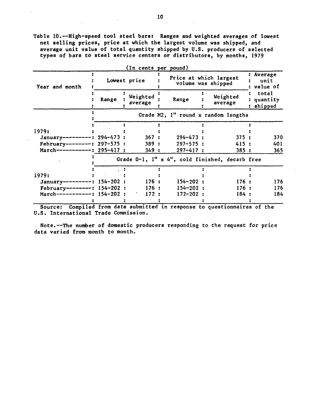Table 10.--High-speed tool steel bars: Ranges and weighted averages of lowest net selling prices, price at which the largest volume was shipped, and average unit value of total quantity shipped by U.S. producers of selected types of bars to steel service centers or distributors, by months, 1979

|                                |              |  |                                              | (In cents per pound) |  |                                                |                               |                                |
|--------------------------------|--------------|--|----------------------------------------------|----------------------|--|------------------------------------------------|-------------------------------|--------------------------------|
| Year and month                 | Lowest price |  | Price at which largest<br>volume was shipped |                      |  |                                                | : Average<br>unit<br>value of |                                |
|                                | Range        |  | Weighted<br>average                          | Range                |  | Weighted<br>average                            | $\bullet$                     | total<br>: quantity<br>shipped |
|                                |              |  |                                              |                      |  | Grade M2, 1" round x random lengths            |                               |                                |
|                                |              |  |                                              |                      |  |                                                |                               |                                |
| 1979:                          |              |  |                                              |                      |  |                                                |                               |                                |
| January---------: 294-473 :    |              |  | 367:                                         | $294 - 473:$         |  | 375:                                           |                               | 370                            |
| February--------: 297-575 :    |              |  | 389:                                         | $297 - 575:$         |  | 415:                                           |                               | 401                            |
| March-----------: 295-417 :    |              |  | 349:                                         | $297 - 417:$         |  | 385:                                           |                               | 365                            |
|                                |              |  |                                              |                      |  | Grade 0-1, 1" x 4", cold finished, decarb free |                               |                                |
|                                |              |  |                                              |                      |  |                                                |                               |                                |
| 1979:                          |              |  |                                              |                      |  |                                                |                               |                                |
| January--------- : $154-202$ : |              |  | 176:                                         | $154 - 202$ :        |  | 176:                                           |                               | 176                            |
| February---------: $154-202$ : |              |  | 176:                                         | $154 - 202$ :        |  | 176:                                           |                               | 176                            |
| March-----------: 154-202 :    |              |  | $\cdot$ 172 :                                | $172 - 202$ :        |  | 184:                                           |                               | 184                            |
|                                |              |  |                                              |                      |  |                                                |                               |                                |

(In cents per pound)

Source: Compiled from data submitted in response to questionnaires of the U.S. International Trade Commission.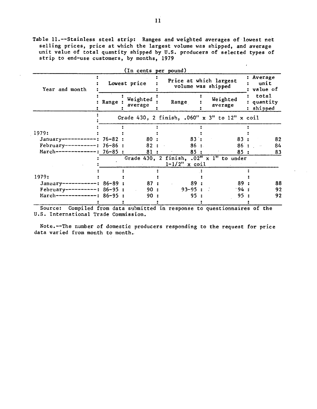Table 11.--Stainless steel strip: Ranges and weighted averages of lowest net selling prices, price at which the largest volume was shipped, and average unit value of total quantity shipped by U.S. producers of selected types of strip to end-use customers, by months, 1979

 $\overline{ }$ 

|                               |                                                              | (In cents per pound) |     |             |                                               |                                |    |  |
|-------------------------------|--------------------------------------------------------------|----------------------|-----|-------------|-----------------------------------------------|--------------------------------|----|--|
| Year and month                |                                                              | Lowest price         |     |             | Price at which largest<br>volume was shipped  | : Average<br>unit<br>value of  |    |  |
|                               | Range                                                        | Weighted<br>average  |     | Range       | Weighted<br>average                           | total<br>: quantity<br>shipped |    |  |
|                               |                                                              |                      |     |             | Grade 430, 2 finish, .060" x 3" to 12" x coil |                                |    |  |
|                               |                                                              |                      |     |             |                                               |                                |    |  |
| 1979:                         |                                                              |                      |     |             |                                               |                                |    |  |
| January-----------: 76-82 :   |                                                              | 80:                  |     | 83:         | 83                                            |                                | 82 |  |
| February----------: $76-86$ : |                                                              |                      | 82: | 86:         |                                               | 86:<br>$\epsilon$ .            | 84 |  |
| $March$ -------------         | $76 - 85:$                                                   | 81:                  |     | 85 :        | 85:                                           |                                | 83 |  |
|                               | Grade 430, 2 finish, .02" x 1" to under<br>$1 - 1/2"$ x coil |                      |     |             |                                               |                                |    |  |
|                               |                                                              |                      |     |             |                                               |                                |    |  |
| 1979:                         |                                                              |                      |     |             |                                               |                                |    |  |
| January------------: 86-89 :  |                                                              | 87:                  |     | 89:         | 89.                                           |                                | 88 |  |
| February----------: $86-95$ : |                                                              | 90:                  |     | $93 - 95$ : | -94:                                          |                                | 92 |  |
| March-------------: 86-95 :   |                                                              | 90:                  |     | 95:         | 95                                            |                                | 92 |  |
|                               |                                                              |                      |     |             |                                               |                                |    |  |

Source: Compiled from data submitted in response to questionnaires of the U.S. International Trade Commission.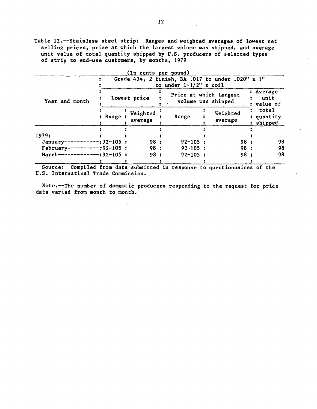Table 12.--Stainless steel strip: Ranges and weighted averages of lowest net selling prices, price at which the largest volume was shipped, and average unit value of total quantity shipped by U.S. producers of selected types of strip to end-use customers, by months, 1979

|                                |                |              | (In cents per pound)                         |  |                           |  |                                                  |   |                                  |
|--------------------------------|----------------|--------------|----------------------------------------------|--|---------------------------|--|--------------------------------------------------|---|----------------------------------|
|                                |                |              |                                              |  | to under $1-1/2$ " x coil |  | Grade 434, 2 finish, BA .017 to under .020" x 1" |   |                                  |
| Year and month                 |                | Lowest price | Price at which largest<br>volume was shipped |  |                           |  | : Average<br>unit<br>value of                    |   |                                  |
|                                | Range          |              | Weighted<br>average                          |  | Range                     |  | Weighted<br>average                              | : | total<br>: quantity<br>: shipped |
| 1979:                          |                |              |                                              |  |                           |  |                                                  |   |                                  |
| $January-----$                 | $-192 - 105$ : |              | 98 :                                         |  | $92 - 105$ :              |  | 98 :                                             |   | 98                               |
| $February$ ----------:92-105:  |                |              | 98 :                                         |  | $92 - 105$ :              |  | 98 :                                             |   | 98                               |
| March---------------: 92-105 : |                |              | 98 :                                         |  | $92 - 105$ :              |  | 98;                                              |   | 98                               |
|                                |                |              |                                              |  |                           |  |                                                  |   |                                  |

Source: Compiled from data submitted in response to questionnaires of the U.S. Internatinal Trade Commission.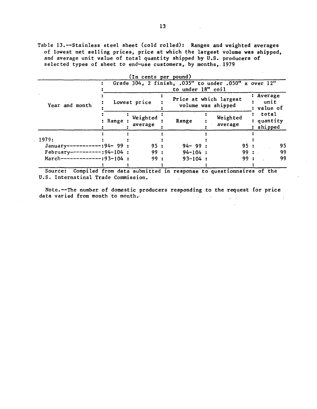Table 13.--Stainless steel sheet (cold rolled): Ranges and weighted averages of lowest net selling prices, price at which the largest volume was shipped, and average unit value of total quantity shipped by U.S. producers of selected types of sheet to end-use customers, by months, 1979

|                                 |              |  | (In cents per pound) |  |                                              |  |                                                         |                                 |                                  |
|---------------------------------|--------------|--|----------------------|--|----------------------------------------------|--|---------------------------------------------------------|---------------------------------|----------------------------------|
|                                 |              |  |                      |  | to under 18" coil                            |  | Grade $304$ , 2 finish, .035" to under .050" x over 12" |                                 |                                  |
| Year and month                  | Lowest price |  |                      |  | Price at which largest<br>volume was shipped |  |                                                         | : Average<br>unit<br>: value of |                                  |
|                                 | : Range      |  | Weighted<br>average  |  | Range                                        |  | Weighted<br>average                                     |                                 | total<br>: quantity<br>: shipped |
| 1979:                           |              |  |                      |  |                                              |  |                                                         |                                 |                                  |
| January-                        | -:94- 99 :   |  | 95:                  |  | $94 - 99:$                                   |  | 95:                                                     |                                 | 95                               |
| $February-------------:94-104:$ |              |  | 99:                  |  | $94 - 104$ :                                 |  | 99:                                                     |                                 | 99                               |
| March-------------:93-104 :     |              |  | 99:                  |  | $93 - 104$ :                                 |  | 99:                                                     |                                 | 99                               |
|                                 |              |  |                      |  |                                              |  |                                                         |                                 |                                  |

Source: Compiled from data submitted in response to questionnaires of the U.S. Internatinal Trade Commission.  $\sim 10^{11}$  $\sim$ 

Note.--The number of domestic producers responding to the request for price data varied from month to month.  $\label{eq:2.1} \mathcal{L}_{\mathcal{A}}(\mathcal{A}) = \mathcal{L}_{\mathcal{A}}(\mathcal{A}) = \mathcal{L}_{\mathcal{A}}(\mathcal{A}) = \mathcal{L}_{\mathcal{A}}(\mathcal{A})$  $\sim 10^7$  $\frac{1}{2}$ 

 $\sim 10$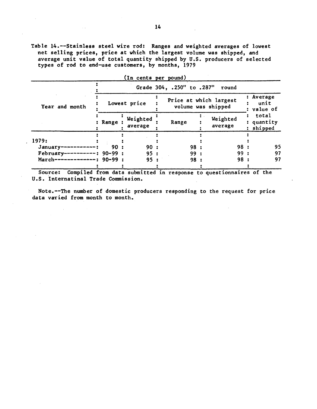Table 14.--Stainless steel wire rod: Ranges and weighted averages of lowest net selling prices, price at which the largest volume was shipped, and average unit value of total quantity shipped by U.S. producers of selected types of rod to end-use customers, by months, 1979

|                             |             |                     | (in cents per pound)                         |                                 |                                  |
|-----------------------------|-------------|---------------------|----------------------------------------------|---------------------------------|----------------------------------|
|                             |             |                     | Grade 304, .250" to .287"                    | round                           |                                  |
| Year and month              |             | Lowest price        | Price at which largest<br>volume was shipped | : Average<br>unit<br>: value of |                                  |
|                             | : Range     | Weighted<br>average | Range                                        | Weighted<br>average             | total<br>: quantity<br>: shipped |
| 1979:                       |             |                     |                                              |                                 |                                  |
| January-----------          | 90 :        | 90 :                | 98 :                                         | 98.                             | 95                               |
| $February-----$             | $90 - 99$ : | 95:                 | 99                                           | 99                              | 97                               |
| March-------------: 90-99 : |             | 95:                 | 98:                                          | 98 :                            | 97                               |
|                             |             |                     |                                              |                                 |                                  |

 $(T_n \text{ const} \text{ nor } \text{ non} \text{ in})$ 

Source: Compiled from data.submitted in response to questionnaires of the U.S. Internatinal Trade Commission.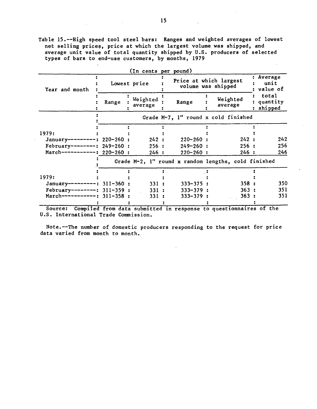Table 15.--High speed tool steel bars: Ranges and weighted averages of lowest net selling prices, price at which the largest volume was shipped, and average unit value of total quantity shipped by U.S. producers of selected types of bars to end-use customers, by months, 1979

|                                     |              | (In cents per pound) |      |                                              |  |                                                     |  |                                   |
|-------------------------------------|--------------|----------------------|------|----------------------------------------------|--|-----------------------------------------------------|--|-----------------------------------|
| Year and month                      | Lowest price |                      |      | Price at which largest<br>volume was shipped |  |                                                     |  | : Average<br>: unit<br>: value of |
|                                     | Range        | Weighted<br>average  |      | Range                                        |  | Weighted<br>average                                 |  | total<br>: quantity<br>: shipped  |
|                                     |              |                      |      |                                              |  | Grade $M-7$ , $1''$ round x cold finished           |  |                                   |
|                                     |              |                      |      |                                              |  |                                                     |  |                                   |
| 1979:                               |              |                      |      |                                              |  |                                                     |  |                                   |
| January----------: 220-260 :        |              | 242:                 |      | $220 - 260$ :                                |  | 242:                                                |  | 242                               |
| February--------: $249-260$ :       |              | 256:                 |      | $249 - 260:$                                 |  | 256:                                                |  | 256                               |
| March-----------: 220-260 :         |              | 246:                 |      | $220 - 260$ :                                |  | 246:                                                |  | 246                               |
|                                     |              |                      |      |                                              |  | Grade M-2, 1" round x random lengths, cold finished |  |                                   |
|                                     |              |                      |      |                                              |  |                                                     |  |                                   |
| 1979:                               |              |                      |      |                                              |  |                                                     |  |                                   |
| January---------: 311-360 :         |              | 331:                 |      | $333 - 375$ :                                |  | 358:                                                |  | 350                               |
| February---------: $311-359$ : 331: |              |                      |      | $333 - 379$ :                                |  | 363:                                                |  | 351                               |
| March-----------: 311-358 :         |              |                      | 331: | $333 - 379$ :                                |  | 363:                                                |  | 351                               |
|                                     |              |                      |      |                                              |  |                                                     |  |                                   |

 $\ddot{\phantom{a}}$ 

Source: Compiled from data submitted in response to questionnaires of the U.S. International Trade Commission.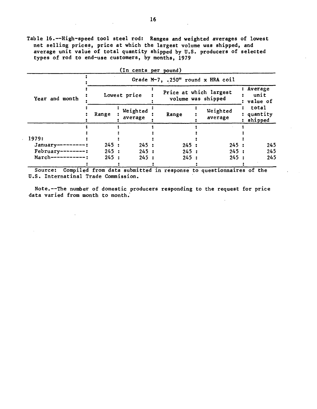Table 16.--High-speed tool steel rod: Ranges and weighted averages of lowest net selling prices, price at which the largest volume was shipped, and average unit value of total quantity shipped by U.S. producers of selected types of rod to end-use customers, by months, 1979

|                     |                                   |                     | (In cents per pound)                         |                               |                                |  |  |  |  |  |  |
|---------------------|-----------------------------------|---------------------|----------------------------------------------|-------------------------------|--------------------------------|--|--|--|--|--|--|
|                     | Grade M-7, .250" round x HRA coil |                     |                                              |                               |                                |  |  |  |  |  |  |
| Year and month      |                                   | Lowest price        | Price at which largest<br>volume was shipped | : Average<br>unit<br>value of |                                |  |  |  |  |  |  |
|                     | Range                             | Weighted<br>average | Range                                        | Weighted<br>average           | total<br>: quantity<br>shipped |  |  |  |  |  |  |
|                     |                                   |                     |                                              |                               |                                |  |  |  |  |  |  |
| 1979:               |                                   |                     |                                              |                               |                                |  |  |  |  |  |  |
| $January-----$      | 245:                              | 245:                | 245:                                         | 245:                          | 245                            |  |  |  |  |  |  |
| $February-----$     | 245:                              | 245:                | 245:                                         | 245:                          | 245                            |  |  |  |  |  |  |
| $March$ ----------- | 245<br>$\cdot$                    | 245:                | 245:                                         | 245:                          | 245                            |  |  |  |  |  |  |
|                     |                                   |                     |                                              |                               |                                |  |  |  |  |  |  |

Source: Compiled from data submitted in response to questionnaires of the U.S. Internatinal Trade Commission.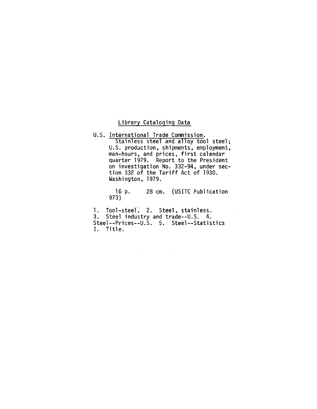Library Cataloging Data

U.S. International Trade Commission. Stainless steel and alloy tool steel; U.S. production, shipments, employment, man-hours, and prices, first calendar quarter 1979. Report to the President on investigation No. 332-94, under section 332 of the Tariff Act of 1930. Washington, 1979.

 $\sim$ 

 $-373)$ 28 cm. (USITC Publication

l. Tool-steel. 2. Steel, stainless. 3. Steel industry and trade--U.S. 4. Steel--Prices--U.S. 5. Steel--Statistics I. Title.